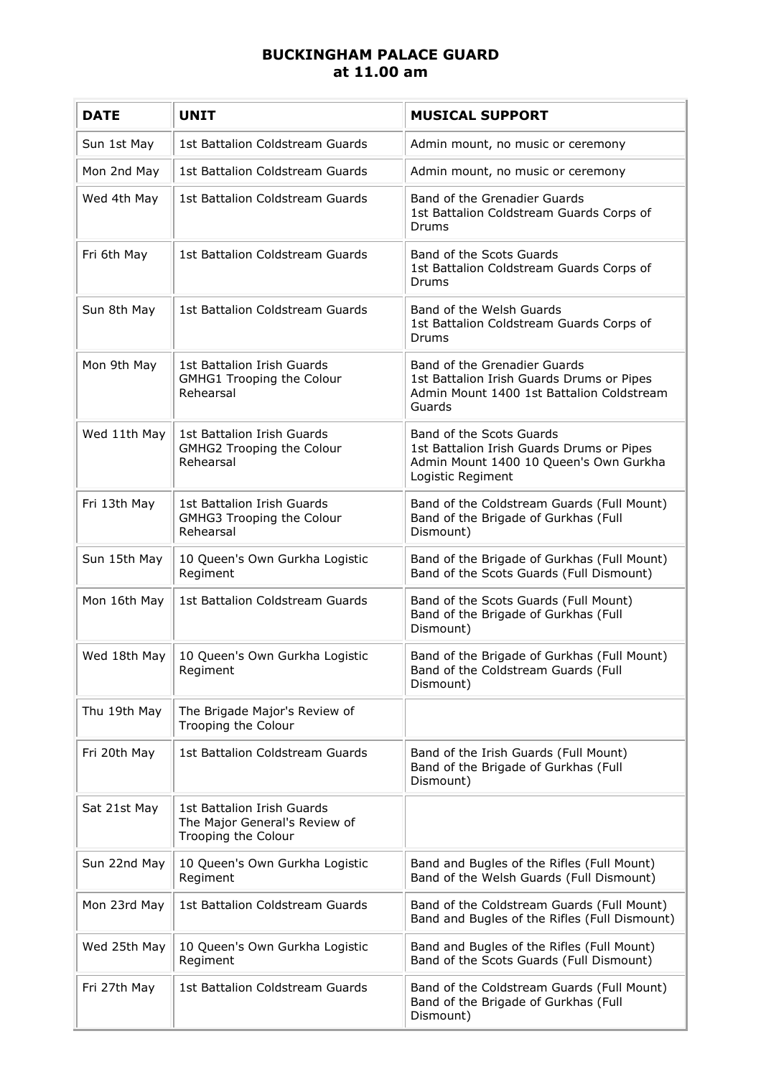## **BUCKINGHAM PALACE GUARD at 11.00 am**

| <b>DATE</b>  | <b>UNIT</b>                                                                        | <b>MUSICAL SUPPORT</b>                                                                                                               |
|--------------|------------------------------------------------------------------------------------|--------------------------------------------------------------------------------------------------------------------------------------|
| Sun 1st May  | 1st Battalion Coldstream Guards                                                    | Admin mount, no music or ceremony                                                                                                    |
| Mon 2nd May  | 1st Battalion Coldstream Guards                                                    | Admin mount, no music or ceremony                                                                                                    |
| Wed 4th May  | 1st Battalion Coldstream Guards                                                    | Band of the Grenadier Guards<br>1st Battalion Coldstream Guards Corps of<br>Drums                                                    |
| Fri 6th May  | 1st Battalion Coldstream Guards                                                    | Band of the Scots Guards<br>1st Battalion Coldstream Guards Corps of<br>Drums                                                        |
| Sun 8th May  | 1st Battalion Coldstream Guards                                                    | Band of the Welsh Guards<br>1st Battalion Coldstream Guards Corps of<br>Drums                                                        |
| Mon 9th May  | 1st Battalion Irish Guards<br>GMHG1 Trooping the Colour<br>Rehearsal               | Band of the Grenadier Guards<br>1st Battalion Irish Guards Drums or Pipes<br>Admin Mount 1400 1st Battalion Coldstream<br>Guards     |
| Wed 11th May | 1st Battalion Irish Guards<br>GMHG2 Trooping the Colour<br>Rehearsal               | Band of the Scots Guards<br>1st Battalion Irish Guards Drums or Pipes<br>Admin Mount 1400 10 Queen's Own Gurkha<br>Logistic Regiment |
| Fri 13th May | 1st Battalion Irish Guards<br>GMHG3 Trooping the Colour<br>Rehearsal               | Band of the Coldstream Guards (Full Mount)<br>Band of the Brigade of Gurkhas (Full<br>Dismount)                                      |
| Sun 15th May | 10 Queen's Own Gurkha Logistic<br>Regiment                                         | Band of the Brigade of Gurkhas (Full Mount)<br>Band of the Scots Guards (Full Dismount)                                              |
| Mon 16th May | 1st Battalion Coldstream Guards                                                    | Band of the Scots Guards (Full Mount)<br>Band of the Brigade of Gurkhas (Full<br>Dismount)                                           |
| Wed 18th May | 10 Queen's Own Gurkha Logistic<br>Regiment                                         | Band of the Brigade of Gurkhas (Full Mount)<br>Band of the Coldstream Guards (Full<br>Dismount)                                      |
| Thu 19th May | The Brigade Major's Review of<br>Trooping the Colour                               |                                                                                                                                      |
| Fri 20th May | 1st Battalion Coldstream Guards                                                    | Band of the Irish Guards (Full Mount)<br>Band of the Brigade of Gurkhas (Full<br>Dismount)                                           |
| Sat 21st May | 1st Battalion Irish Guards<br>The Major General's Review of<br>Trooping the Colour |                                                                                                                                      |
| Sun 22nd May | 10 Queen's Own Gurkha Logistic<br>Regiment                                         | Band and Bugles of the Rifles (Full Mount)<br>Band of the Welsh Guards (Full Dismount)                                               |
| Mon 23rd May | 1st Battalion Coldstream Guards                                                    | Band of the Coldstream Guards (Full Mount)<br>Band and Bugles of the Rifles (Full Dismount)                                          |
| Wed 25th May | 10 Queen's Own Gurkha Logistic<br>Regiment                                         | Band and Bugles of the Rifles (Full Mount)<br>Band of the Scots Guards (Full Dismount)                                               |
| Fri 27th May | 1st Battalion Coldstream Guards                                                    | Band of the Coldstream Guards (Full Mount)<br>Band of the Brigade of Gurkhas (Full<br>Dismount)                                      |